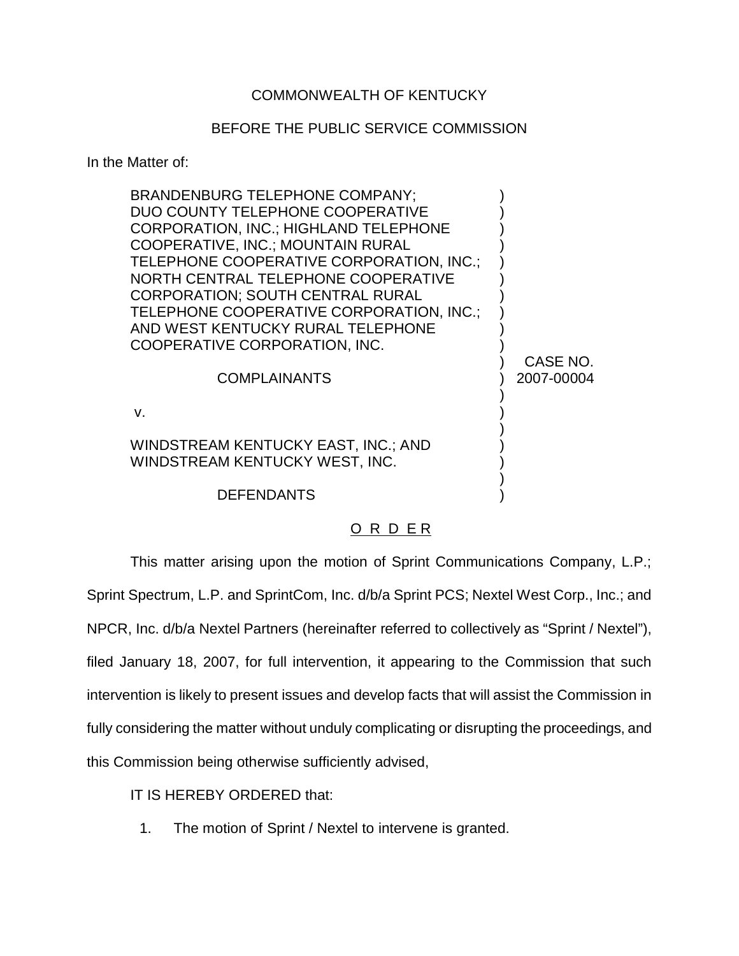## COMMONWEALTH OF KENTUCKY

## BEFORE THE PUBLIC SERVICE COMMISSION

In the Matter of:

| <b>BRANDENBURG TELEPHONE COMPANY:</b><br>DUO COUNTY TELEPHONE COOPERATIVE<br><b>CORPORATION, INC.; HIGHLAND TELEPHONE</b><br>COOPERATIVE, INC.; MOUNTAIN RURAL<br>TELEPHONE COOPERATIVE CORPORATION, INC.;<br>NORTH CENTRAL TELEPHONE COOPERATIVE<br><b>CORPORATION: SOUTH CENTRAL RURAL</b><br>TELEPHONE COOPERATIVE CORPORATION, INC.;<br>AND WEST KENTUCKY RURAL TELEPHONE<br>COOPERATIVE CORPORATION, INC.<br><b>COMPLAINANTS</b> | CASE NO.<br>2007-00004 |
|---------------------------------------------------------------------------------------------------------------------------------------------------------------------------------------------------------------------------------------------------------------------------------------------------------------------------------------------------------------------------------------------------------------------------------------|------------------------|
| $V_{\rm c}$                                                                                                                                                                                                                                                                                                                                                                                                                           |                        |
| WINDSTREAM KENTUCKY EAST, INC.; AND<br>WINDSTREAM KENTUCKY WEST, INC.                                                                                                                                                                                                                                                                                                                                                                 |                        |
| <b>DEFENDANTS</b>                                                                                                                                                                                                                                                                                                                                                                                                                     |                        |

## O R D E R

This matter arising upon the motion of Sprint Communications Company, L.P.; Sprint Spectrum, L.P. and SprintCom, Inc. d/b/a Sprint PCS; Nextel West Corp., Inc.; and NPCR, Inc. d/b/a Nextel Partners (hereinafter referred to collectively as "Sprint / Nextel"), filed January 18, 2007, for full intervention, it appearing to the Commission that such intervention is likely to present issues and develop facts that will assist the Commission in fully considering the matter without unduly complicating or disrupting the proceedings, and this Commission being otherwise sufficiently advised,

IT IS HEREBY ORDERED that:

1. The motion of Sprint / Nextel to intervene is granted.